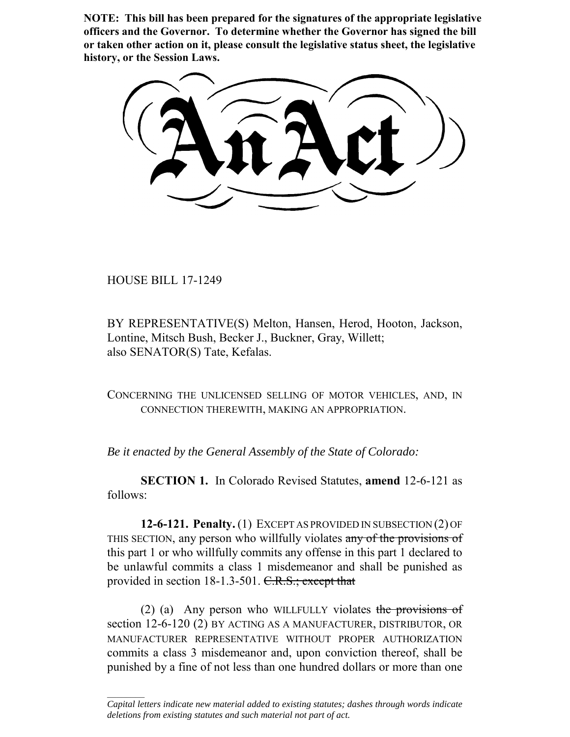**NOTE: This bill has been prepared for the signatures of the appropriate legislative officers and the Governor. To determine whether the Governor has signed the bill or taken other action on it, please consult the legislative status sheet, the legislative history, or the Session Laws.**

HOUSE BILL 17-1249

 $\frac{1}{2}$ 

BY REPRESENTATIVE(S) Melton, Hansen, Herod, Hooton, Jackson, Lontine, Mitsch Bush, Becker J., Buckner, Gray, Willett; also SENATOR(S) Tate, Kefalas.

CONCERNING THE UNLICENSED SELLING OF MOTOR VEHICLES, AND, IN CONNECTION THEREWITH, MAKING AN APPROPRIATION.

*Be it enacted by the General Assembly of the State of Colorado:*

**SECTION 1.** In Colorado Revised Statutes, **amend** 12-6-121 as follows:

**12-6-121. Penalty.** (1) EXCEPT AS PROVIDED IN SUBSECTION (2) OF THIS SECTION, any person who willfully violates any of the provisions of this part 1 or who willfully commits any offense in this part 1 declared to be unlawful commits a class 1 misdemeanor and shall be punished as provided in section 18-1.3-501. C.R.S.; except that

(2) (a) Any person who WILLFULLY violates the provisions of section 12-6-120 (2) BY ACTING AS A MANUFACTURER, DISTRIBUTOR, OR MANUFACTURER REPRESENTATIVE WITHOUT PROPER AUTHORIZATION commits a class 3 misdemeanor and, upon conviction thereof, shall be punished by a fine of not less than one hundred dollars or more than one

*Capital letters indicate new material added to existing statutes; dashes through words indicate deletions from existing statutes and such material not part of act.*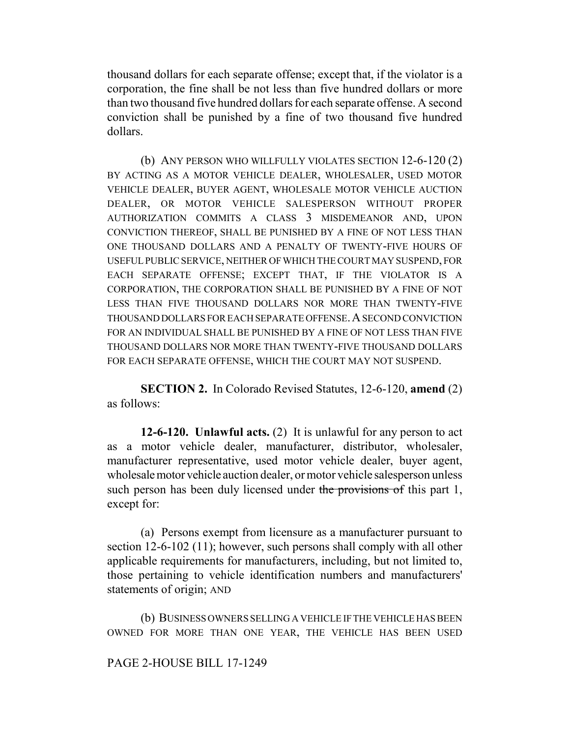thousand dollars for each separate offense; except that, if the violator is a corporation, the fine shall be not less than five hundred dollars or more than two thousand five hundred dollars for each separate offense. A second conviction shall be punished by a fine of two thousand five hundred dollars.

(b) ANY PERSON WHO WILLFULLY VIOLATES SECTION 12-6-120 (2) BY ACTING AS A MOTOR VEHICLE DEALER, WHOLESALER, USED MOTOR VEHICLE DEALER, BUYER AGENT, WHOLESALE MOTOR VEHICLE AUCTION DEALER, OR MOTOR VEHICLE SALESPERSON WITHOUT PROPER AUTHORIZATION COMMITS A CLASS 3 MISDEMEANOR AND, UPON CONVICTION THEREOF, SHALL BE PUNISHED BY A FINE OF NOT LESS THAN ONE THOUSAND DOLLARS AND A PENALTY OF TWENTY-FIVE HOURS OF USEFUL PUBLIC SERVICE, NEITHER OF WHICH THE COURT MAY SUSPEND, FOR EACH SEPARATE OFFENSE; EXCEPT THAT, IF THE VIOLATOR IS A CORPORATION, THE CORPORATION SHALL BE PUNISHED BY A FINE OF NOT LESS THAN FIVE THOUSAND DOLLARS NOR MORE THAN TWENTY-FIVE THOUSAND DOLLARS FOR EACH SEPARATE OFFENSE.A SECOND CONVICTION FOR AN INDIVIDUAL SHALL BE PUNISHED BY A FINE OF NOT LESS THAN FIVE THOUSAND DOLLARS NOR MORE THAN TWENTY-FIVE THOUSAND DOLLARS FOR EACH SEPARATE OFFENSE, WHICH THE COURT MAY NOT SUSPEND.

**SECTION 2.** In Colorado Revised Statutes, 12-6-120, **amend** (2) as follows:

**12-6-120. Unlawful acts.** (2) It is unlawful for any person to act as a motor vehicle dealer, manufacturer, distributor, wholesaler, manufacturer representative, used motor vehicle dealer, buyer agent, wholesale motor vehicle auction dealer, or motor vehicle salesperson unless such person has been duly licensed under the provisions of this part 1, except for:

(a) Persons exempt from licensure as a manufacturer pursuant to section 12-6-102 (11); however, such persons shall comply with all other applicable requirements for manufacturers, including, but not limited to, those pertaining to vehicle identification numbers and manufacturers' statements of origin; AND

(b) BUSINESS OWNERS SELLING A VEHICLE IF THE VEHICLE HAS BEEN OWNED FOR MORE THAN ONE YEAR, THE VEHICLE HAS BEEN USED

## PAGE 2-HOUSE BILL 17-1249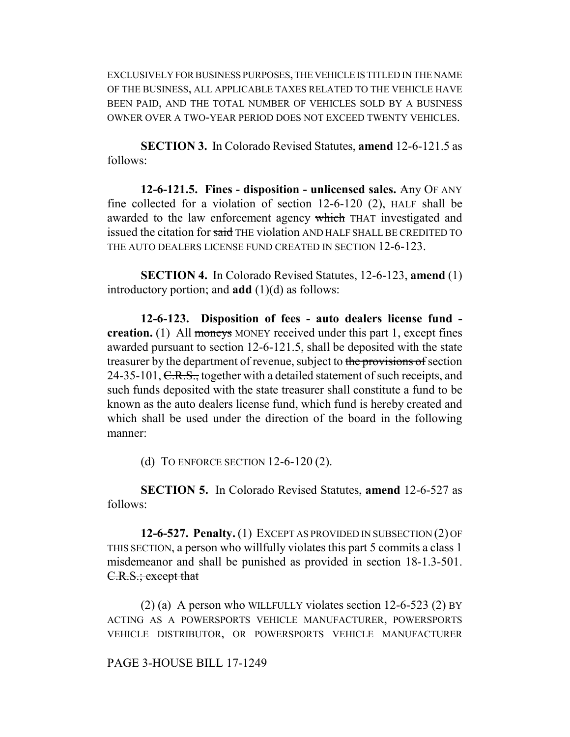EXCLUSIVELY FOR BUSINESS PURPOSES, THE VEHICLE IS TITLED IN THE NAME OF THE BUSINESS, ALL APPLICABLE TAXES RELATED TO THE VEHICLE HAVE BEEN PAID, AND THE TOTAL NUMBER OF VEHICLES SOLD BY A BUSINESS OWNER OVER A TWO-YEAR PERIOD DOES NOT EXCEED TWENTY VEHICLES.

**SECTION 3.** In Colorado Revised Statutes, **amend** 12-6-121.5 as follows:

**12-6-121.5. Fines - disposition - unlicensed sales.** Any OF ANY fine collected for a violation of section 12-6-120 (2), HALF shall be awarded to the law enforcement agency which THAT investigated and issued the citation for said THE violation AND HALF SHALL BE CREDITED TO THE AUTO DEALERS LICENSE FUND CREATED IN SECTION 12-6-123.

**SECTION 4.** In Colorado Revised Statutes, 12-6-123, **amend** (1) introductory portion; and **add**  $(1)(d)$  as follows:

**12-6-123. Disposition of fees - auto dealers license fund creation.** (1) All moneys MONEY received under this part 1, except fines awarded pursuant to section 12-6-121.5, shall be deposited with the state treasurer by the department of revenue, subject to the provisions of section 24-35-101, C.R.S., together with a detailed statement of such receipts, and such funds deposited with the state treasurer shall constitute a fund to be known as the auto dealers license fund, which fund is hereby created and which shall be used under the direction of the board in the following manner:

(d) TO ENFORCE SECTION 12-6-120 (2).

**SECTION 5.** In Colorado Revised Statutes, **amend** 12-6-527 as follows:

**12-6-527. Penalty.** (1) EXCEPT AS PROVIDED IN SUBSECTION (2) OF THIS SECTION, a person who willfully violates this part 5 commits a class 1 misdemeanor and shall be punished as provided in section 18-1.3-501. C.R.S.; except that

(2) (a) A person who WILLFULLY violates section 12-6-523 (2) BY ACTING AS A POWERSPORTS VEHICLE MANUFACTURER, POWERSPORTS VEHICLE DISTRIBUTOR, OR POWERSPORTS VEHICLE MANUFACTURER

## PAGE 3-HOUSE BILL 17-1249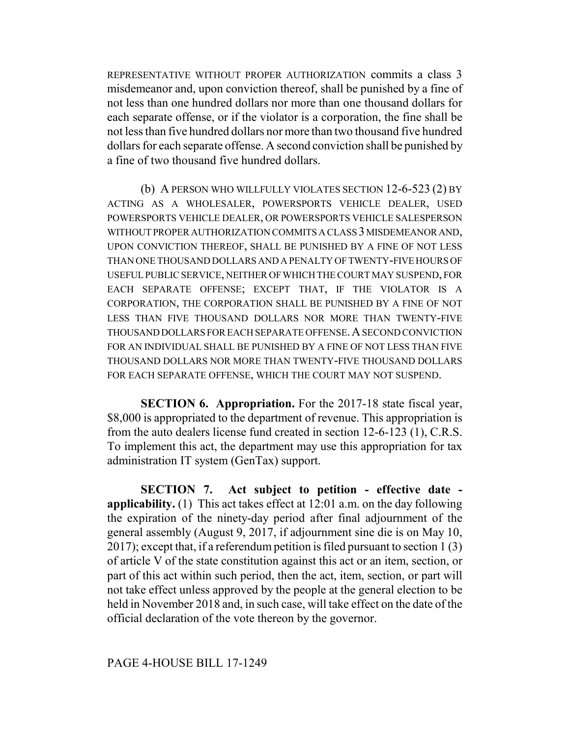REPRESENTATIVE WITHOUT PROPER AUTHORIZATION commits a class 3 misdemeanor and, upon conviction thereof, shall be punished by a fine of not less than one hundred dollars nor more than one thousand dollars for each separate offense, or if the violator is a corporation, the fine shall be not less than five hundred dollars nor more than two thousand five hundred dollars for each separate offense. A second conviction shall be punished by a fine of two thousand five hundred dollars.

(b) A PERSON WHO WILLFULLY VIOLATES SECTION 12-6-523 (2) BY ACTING AS A WHOLESALER, POWERSPORTS VEHICLE DEALER, USED POWERSPORTS VEHICLE DEALER, OR POWERSPORTS VEHICLE SALESPERSON WITHOUT PROPER AUTHORIZATION COMMITS A CLASS 3 MISDEMEANOR AND, UPON CONVICTION THEREOF, SHALL BE PUNISHED BY A FINE OF NOT LESS THAN ONE THOUSAND DOLLARS AND A PENALTY OF TWENTY-FIVE HOURS OF USEFUL PUBLIC SERVICE, NEITHER OF WHICH THE COURT MAY SUSPEND, FOR EACH SEPARATE OFFENSE; EXCEPT THAT, IF THE VIOLATOR IS A CORPORATION, THE CORPORATION SHALL BE PUNISHED BY A FINE OF NOT LESS THAN FIVE THOUSAND DOLLARS NOR MORE THAN TWENTY-FIVE THOUSAND DOLLARS FOR EACH SEPARATE OFFENSE.A SECOND CONVICTION FOR AN INDIVIDUAL SHALL BE PUNISHED BY A FINE OF NOT LESS THAN FIVE THOUSAND DOLLARS NOR MORE THAN TWENTY-FIVE THOUSAND DOLLARS FOR EACH SEPARATE OFFENSE, WHICH THE COURT MAY NOT SUSPEND.

**SECTION 6. Appropriation.** For the 2017-18 state fiscal year, \$8,000 is appropriated to the department of revenue. This appropriation is from the auto dealers license fund created in section 12-6-123 (1), C.R.S. To implement this act, the department may use this appropriation for tax administration IT system (GenTax) support.

**SECTION 7. Act subject to petition - effective date applicability.** (1) This act takes effect at 12:01 a.m. on the day following the expiration of the ninety-day period after final adjournment of the general assembly (August 9, 2017, if adjournment sine die is on May 10, 2017); except that, if a referendum petition is filed pursuant to section 1 (3) of article V of the state constitution against this act or an item, section, or part of this act within such period, then the act, item, section, or part will not take effect unless approved by the people at the general election to be held in November 2018 and, in such case, will take effect on the date of the official declaration of the vote thereon by the governor.

## PAGE 4-HOUSE BILL 17-1249